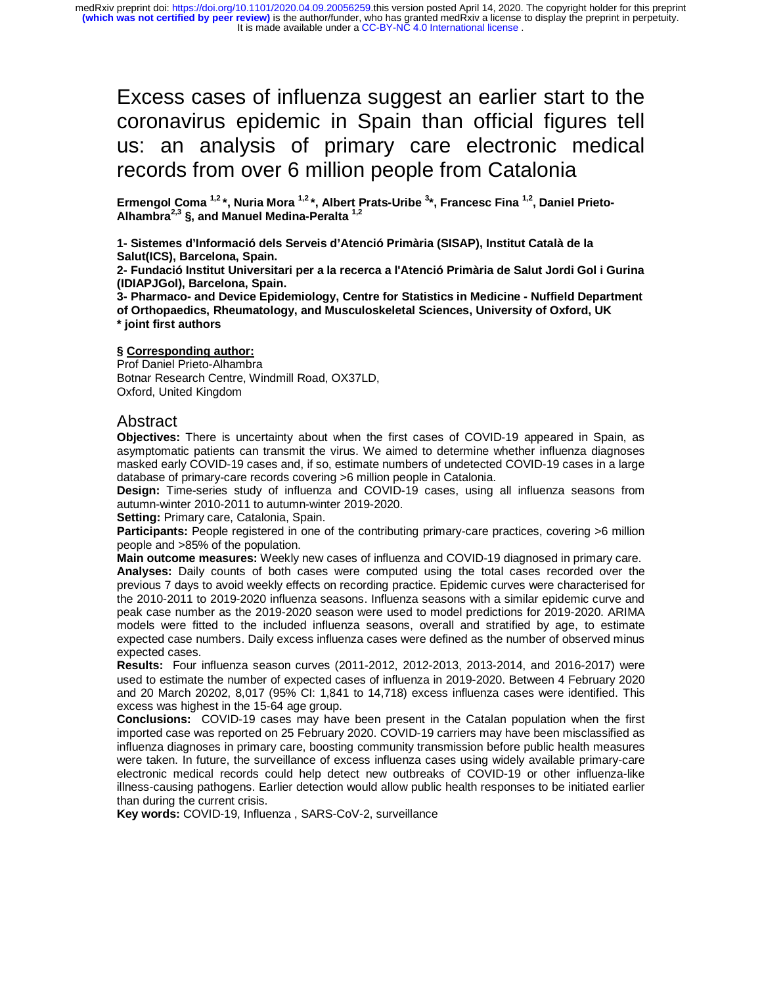# Excess cases of influenza suggest an earlier start to the coronavirus epidemic in Spain than official figures tell us: an analysis of primary care electronic medical records from over 6 million people from Catalonia

**Ermengol Coma 1,2 \*, Nuria Mora 1,2 \*, Albert Prats-Uribe 3 \*, Francesc Fina 1,2, Daniel Prieto-Alhambra2,3 §, and Manuel Medina-Peralta 1,2**

**1- Sistemes d'Informació dels Serveis d'Atenció Primària (SISAP), Institut Català de la Salut(ICS), Barcelona, Spain.** 

**2- Fundació Institut Universitari per a la recerca a l'Atenció Primària de Salut Jordi Gol i Gurina (IDIAPJGol), Barcelona, Spain.** 

**3- Pharmaco- and Device Epidemiology, Centre for Statistics in Medicine - Nuffield Department of Orthopaedics, Rheumatology, and Musculoskeletal Sciences, University of Oxford, UK \* joint first authors** 

#### **§ Corresponding author:**

Prof Daniel Prieto-Alhambra Botnar Research Centre, Windmill Road, OX37LD, Oxford, United Kingdom

### Abstract

**Objectives:** There is uncertainty about when the first cases of COVID-19 appeared in Spain, as asymptomatic patients can transmit the virus. We aimed to determine whether influenza diagnoses masked early COVID-19 cases and, if so, estimate numbers of undetected COVID-19 cases in a large database of primary-care records covering >6 million people in Catalonia.

**Design:** Time-series study of influenza and COVID-19 cases, using all influenza seasons from autumn-winter 2010-2011 to autumn-winter 2019-2020.

**Setting:** Primary care, Catalonia, Spain.

**Participants:** People registered in one of the contributing primary-care practices, covering >6 million people and >85% of the population.

**Main outcome measures:** Weekly new cases of influenza and COVID-19 diagnosed in primary care. **Analyses:** Daily counts of both cases were computed using the total cases recorded over the previous 7 days to avoid weekly effects on recording practice. Epidemic curves were characterised for the 2010-2011 to 2019-2020 influenza seasons. Influenza seasons with a similar epidemic curve and peak case number as the 2019-2020 season were used to model predictions for 2019-2020. ARIMA models were fitted to the included influenza seasons, overall and stratified by age, to estimate expected case numbers. Daily excess influenza cases were defined as the number of observed minus expected cases.

**Results:** Four influenza season curves (2011-2012, 2012-2013, 2013-2014, and 2016-2017) were used to estimate the number of expected cases of influenza in 2019-2020. Between 4 February 2020 and 20 March 20202, 8,017 (95% CI: 1,841 to 14,718) excess influenza cases were identified. This excess was highest in the 15-64 age group.

**Conclusions:** COVID-19 cases may have been present in the Catalan population when the first imported case was reported on 25 February 2020. COVID-19 carriers may have been misclassified as influenza diagnoses in primary care, boosting community transmission before public health measures were taken. In future, the surveillance of excess influenza cases using widely available primary-care electronic medical records could help detect new outbreaks of COVID-19 or other influenza-like illness-causing pathogens. Earlier detection would allow public health responses to be initiated earlier than during the current crisis.

**Key words:** COVID-19, Influenza , SARS-CoV-2, surveillance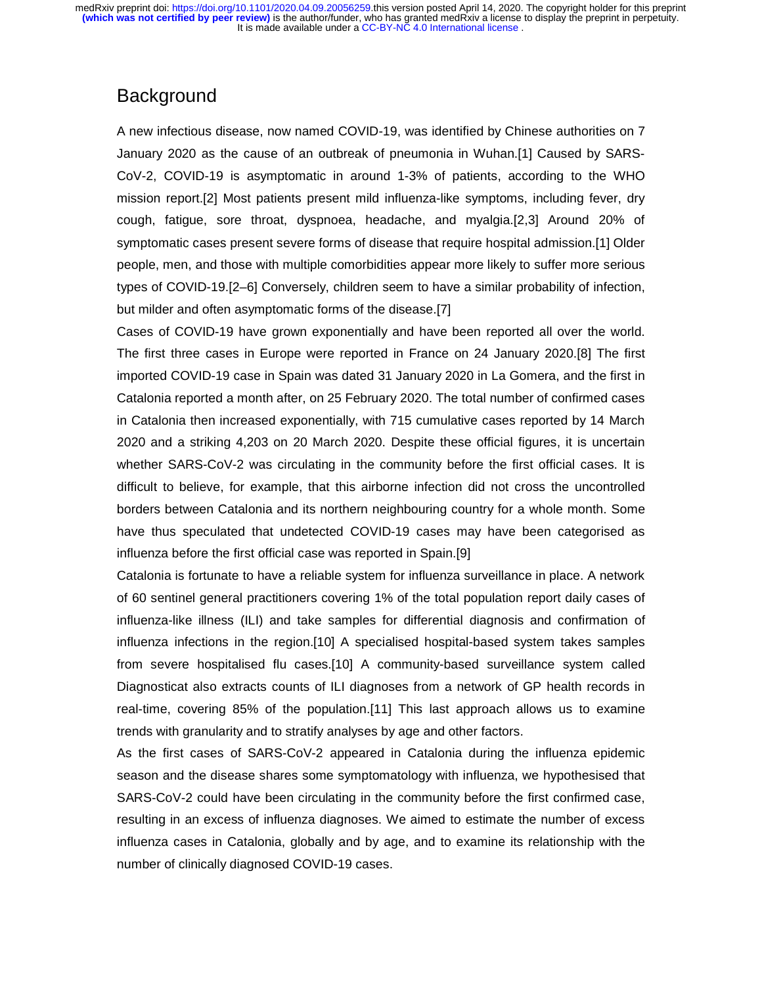## **Background**

A new infectious disease, now named COVID-19, was identified by Chinese authorities on 7 January 2020 as the cause of an outbreak of pneumonia in Wuhan.[1] Caused by SARS-CoV-2, COVID-19 is asymptomatic in around 1-3% of patients, according to the WHO mission report.[2] Most patients present mild influenza-like symptoms, including fever, dry cough, fatigue, sore throat, dyspnoea, headache, and myalgia.[2,3] Around 20% of symptomatic cases present severe forms of disease that require hospital admission.[1] Older people, men, and those with multiple comorbidities appear more likely to suffer more serious types of COVID-19.[2–6] Conversely, children seem to have a similar probability of infection, but milder and often asymptomatic forms of the disease.[7]

Cases of COVID-19 have grown exponentially and have been reported all over the world. The first three cases in Europe were reported in France on 24 January 2020.[8] The first imported COVID-19 case in Spain was dated 31 January 2020 in La Gomera, and the first in Catalonia reported a month after, on 25 February 2020. The total number of confirmed cases in Catalonia then increased exponentially, with 715 cumulative cases reported by 14 March 2020 and a striking 4,203 on 20 March 2020. Despite these official figures, it is uncertain whether SARS-CoV-2 was circulating in the community before the first official cases. It is difficult to believe, for example, that this airborne infection did not cross the uncontrolled borders between Catalonia and its northern neighbouring country for a whole month. Some have thus speculated that undetected COVID-19 cases may have been categorised as influenza before the first official case was reported in Spain.[9]

Catalonia is fortunate to have a reliable system for influenza surveillance in place. A network of 60 sentinel general practitioners covering 1% of the total population report daily cases of influenza-like illness (ILI) and take samples for differential diagnosis and confirmation of influenza infections in the region.[10] A specialised hospital-based system takes samples from severe hospitalised flu cases.[10] A community-based surveillance system called Diagnosticat also extracts counts of ILI diagnoses from a network of GP health records in real-time, covering 85% of the population.[11] This last approach allows us to examine trends with granularity and to stratify analyses by age and other factors.

As the first cases of SARS-CoV-2 appeared in Catalonia during the influenza epidemic season and the disease shares some symptomatology with influenza, we hypothesised that SARS-CoV-2 could have been circulating in the community before the first confirmed case, resulting in an excess of influenza diagnoses. We aimed to estimate the number of excess influenza cases in Catalonia, globally and by age, and to examine its relationship with the number of clinically diagnosed COVID-19 cases.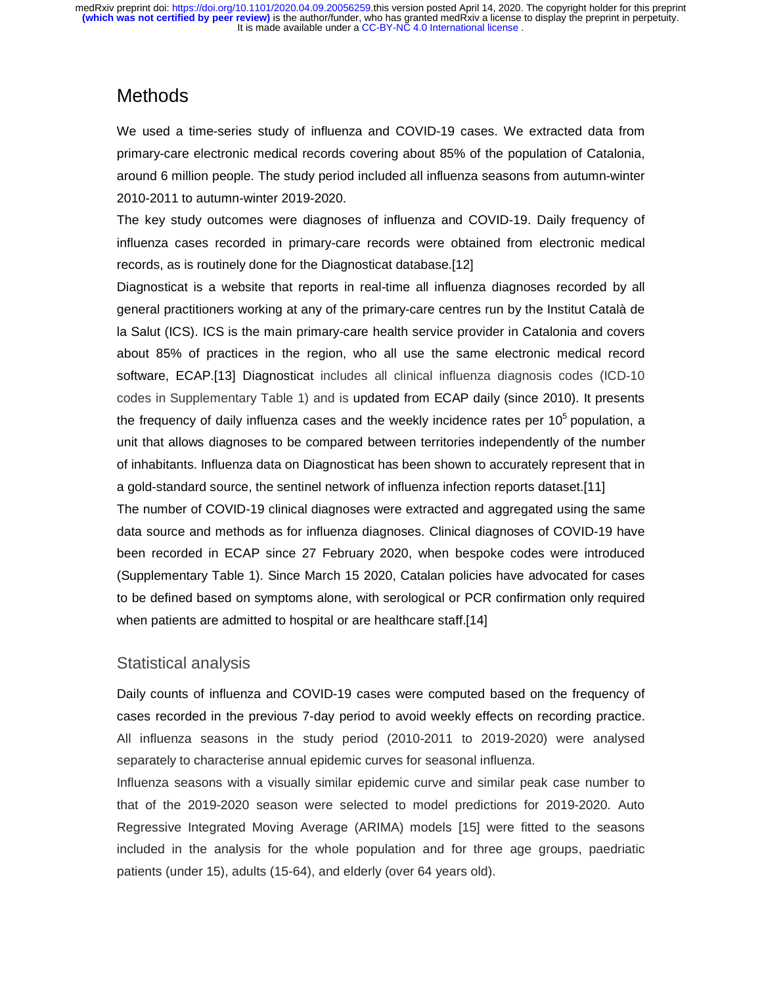## **Methods**

We used a time-series study of influenza and COVID-19 cases. We extracted data from primary-care electronic medical records covering about 85% of the population of Catalonia, around 6 million people. The study period included all influenza seasons from autumn-winter 2010-2011 to autumn-winter 2019-2020.

The key study outcomes were diagnoses of influenza and COVID-19. Daily frequency of influenza cases recorded in primary-care records were obtained from electronic medical records, as is routinely done for the Diagnosticat database.[12]

Diagnosticat is a website that reports in real-time all influenza diagnoses recorded by all general practitioners working at any of the primary-care centres run by the Institut Català de la Salut (ICS). ICS is the main primary-care health service provider in Catalonia and covers about 85% of practices in the region, who all use the same electronic medical record software, ECAP.[13] Diagnosticat includes all clinical influenza diagnosis codes (ICD-10 codes in Supplementary Table 1) and is updated from ECAP daily (since 2010). It presents the frequency of daily influenza cases and the weekly incidence rates per  $10<sup>5</sup>$  population, a unit that allows diagnoses to be compared between territories independently of the number of inhabitants. Influenza data on Diagnosticat has been shown to accurately represent that in a gold-standard source, the sentinel network of influenza infection reports dataset.[11]

The number of COVID-19 clinical diagnoses were extracted and aggregated using the same data source and methods as for influenza diagnoses. Clinical diagnoses of COVID-19 have been recorded in ECAP since 27 February 2020, when bespoke codes were introduced (Supplementary Table 1). Since March 15 2020, Catalan policies have advocated for cases to be defined based on symptoms alone, with serological or PCR confirmation only required when patients are admitted to hospital or are healthcare staff.[14]

## Statistical analysis

Daily counts of influenza and COVID-19 cases were computed based on the frequency of cases recorded in the previous 7-day period to avoid weekly effects on recording practice. All influenza seasons in the study period (2010-2011 to 2019-2020) were analysed separately to characterise annual epidemic curves for seasonal influenza.

Influenza seasons with a visually similar epidemic curve and similar peak case number to that of the 2019-2020 season were selected to model predictions for 2019-2020. Auto Regressive Integrated Moving Average (ARIMA) models [15] were fitted to the seasons included in the analysis for the whole population and for three age groups, paedriatic patients (under 15), adults (15-64), and elderly (over 64 years old).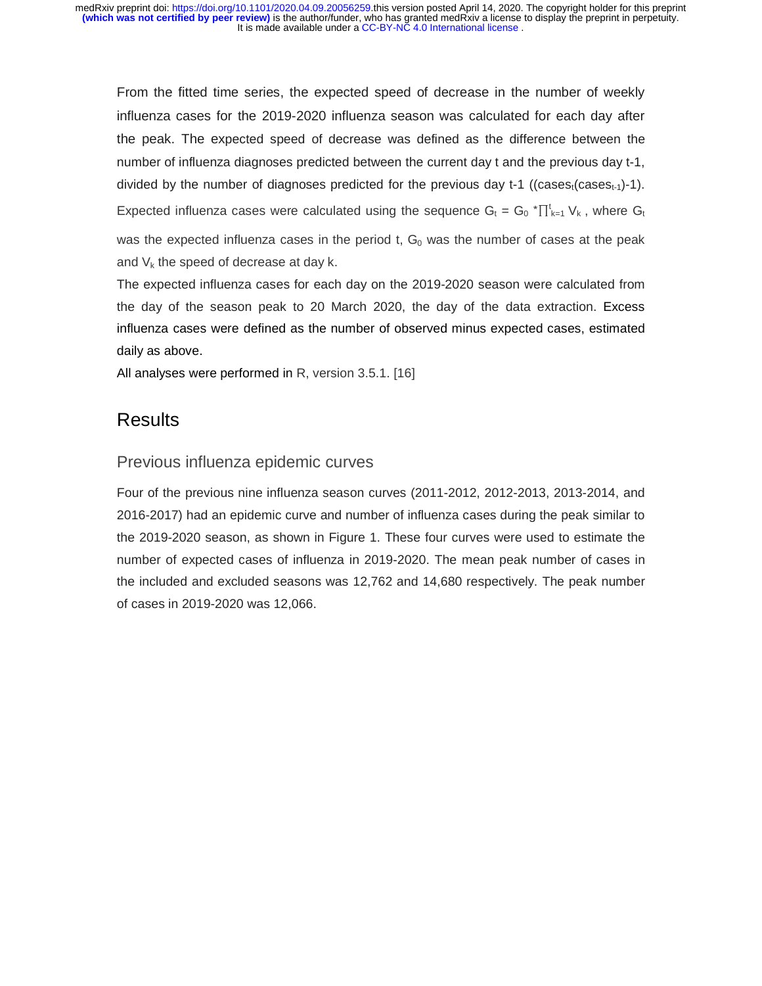From the fitted time series, the expected speed of decrease in the number of weekly influenza cases for the 2019-2020 influenza season was calculated for each day after the peak. The expected speed of decrease was defined as the difference between the number of influenza diagnoses predicted between the current day t and the previous day t-1, divided by the number of diagnoses predicted for the previous day t-1 ((cases $t_1$ (cases $t_1$ )-1). Expected influenza cases were calculated using the sequence  $G_t = G_0 * \prod_{k=1}^t V_k$ , where  $G_t$ was the expected influenza cases in the period t,  $G_0$  was the number of cases at the peak and  $V_k$  the speed of decrease at day  $k$ .

The expected influenza cases for each day on the 2019-2020 season were calculated from the day of the season peak to 20 March 2020, the day of the data extraction. Excess influenza cases were defined as the number of observed minus expected cases, estimated daily as above.

All analyses were performed in R, version 3.5.1. [16]

## **Results**

## Previous influenza epidemic curves

Four of the previous nine influenza season curves (2011-2012, 2012-2013, 2013-2014, and 2016-2017) had an epidemic curve and number of influenza cases during the peak similar to the 2019-2020 season, as shown in Figure 1. These four curves were used to estimate the number of expected cases of influenza in 2019-2020. The mean peak number of cases in the included and excluded seasons was 12,762 and 14,680 respectively. The peak number of cases in 2019-2020 was 12,066.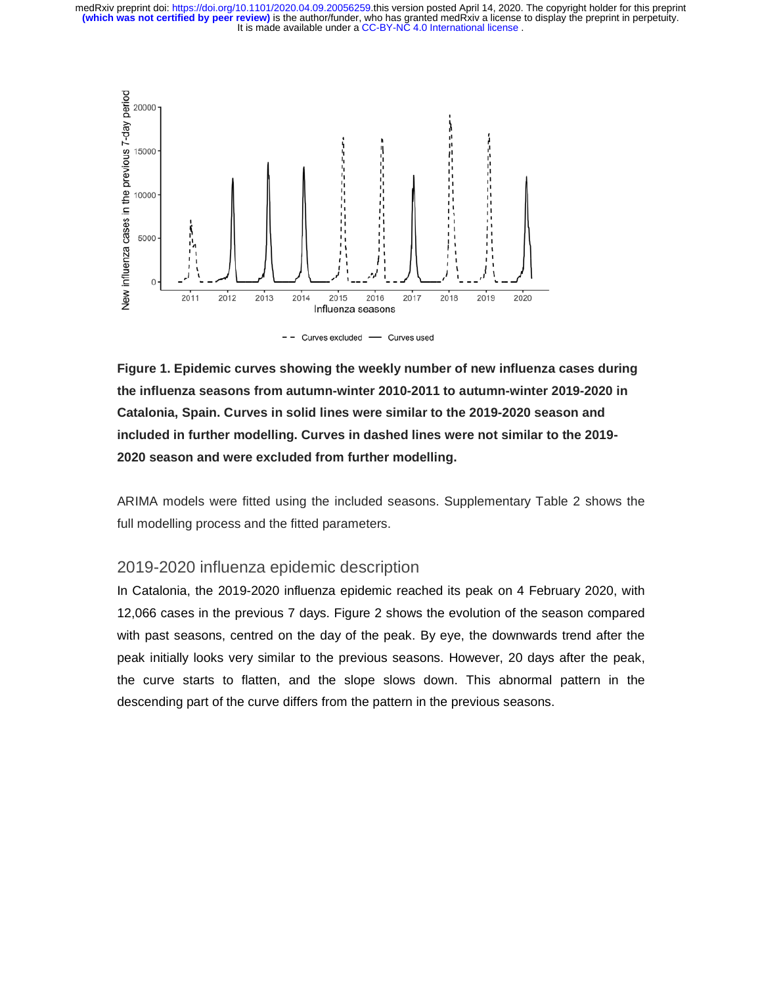

- - Curves excluded - Curves used

**Figure 1. Epidemic curves showing the weekly number of new influenza cases during the influenza seasons from autumn-winter 2010-2011 to autumn-winter 2019-2020 in Catalonia, Spain. Curves in solid lines were similar to the 2019-2020 season and included in further modelling. Curves in dashed lines were not similar to the 2019- 2020 season and were excluded from further modelling.** 

ARIMA models were fitted using the included seasons. Supplementary Table 2 shows the full modelling process and the fitted parameters.

## 2019-2020 influenza epidemic description

In Catalonia, the 2019-2020 influenza epidemic reached its peak on 4 February 2020, with 12,066 cases in the previous 7 days. Figure 2 shows the evolution of the season compared with past seasons, centred on the day of the peak. By eye, the downwards trend after the peak initially looks very similar to the previous seasons. However, 20 days after the peak, the curve starts to flatten, and the slope slows down. This abnormal pattern in the descending part of the curve differs from the pattern in the previous seasons.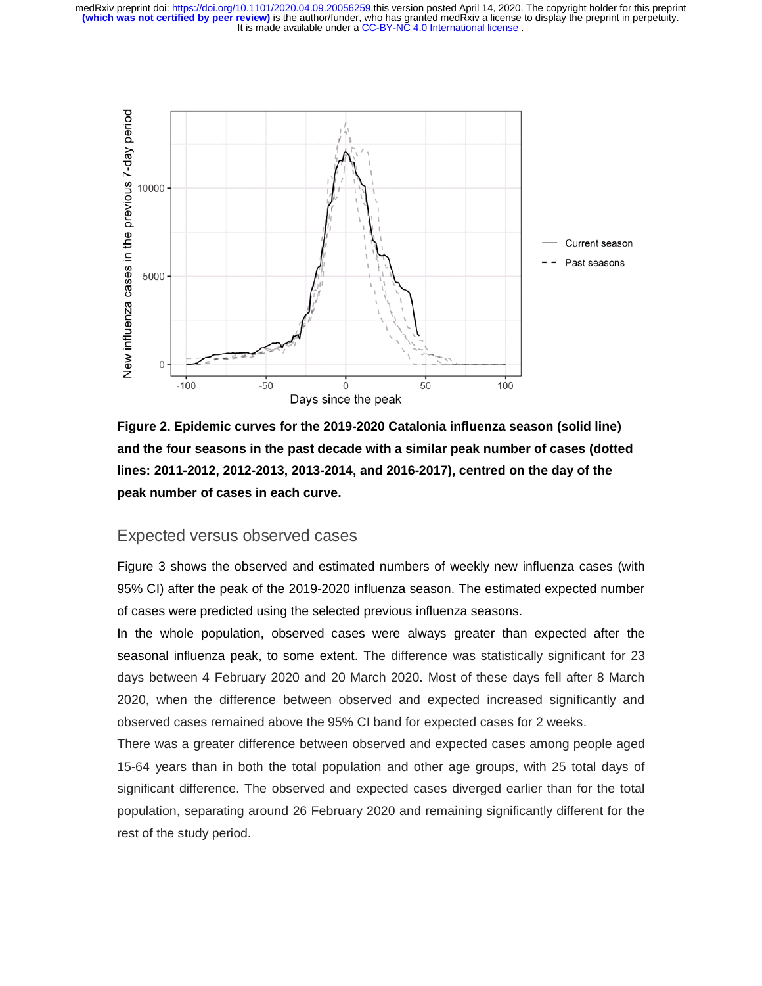



### Expected versus observed cases

Figure 3 shows the observed and estimated numbers of weekly new influenza cases (with 95% CI) after the peak of the 2019-2020 influenza season. The estimated expected number of cases were predicted using the selected previous influenza seasons.

In the whole population, observed cases were always greater than expected after the seasonal influenza peak, to some extent. The difference was statistically significant for 23 days between 4 February 2020 and 20 March 2020. Most of these days fell after 8 March 2020, when the difference between observed and expected increased significantly and observed cases remained above the 95% CI band for expected cases for 2 weeks.

There was a greater difference between observed and expected cases among people aged 15-64 years than in both the total population and other age groups, with 25 total days of significant difference. The observed and expected cases diverged earlier than for the total population, separating around 26 February 2020 and remaining significantly different for the rest of the study period.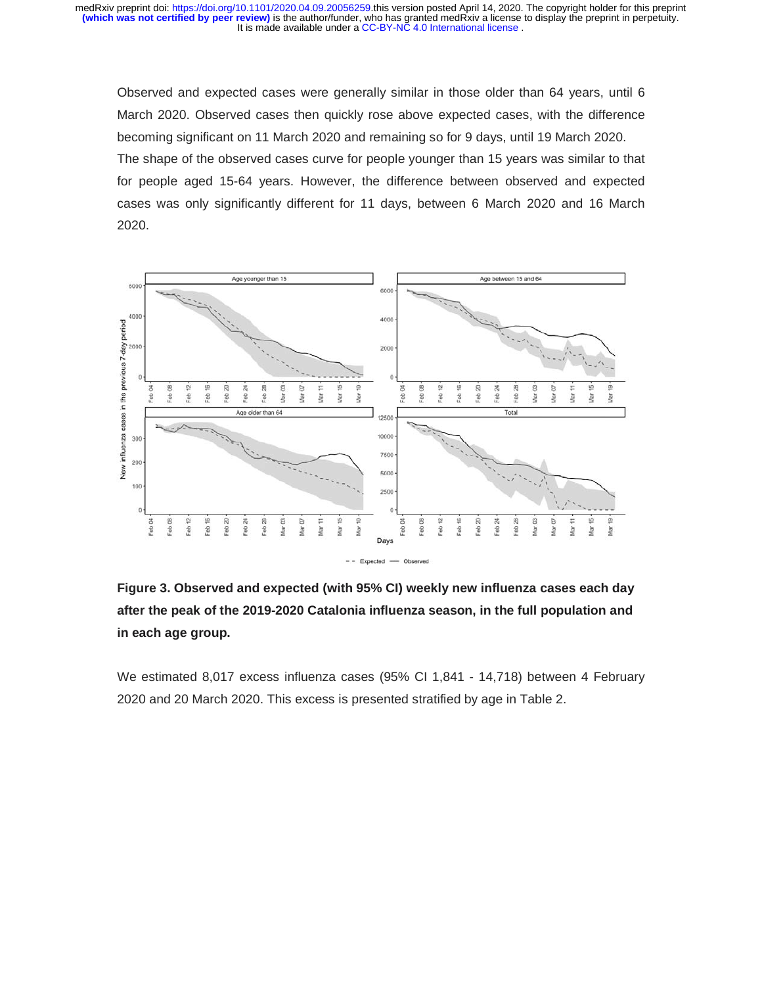Observed and expected cases were generally similar in those older than 64 years, until 6 March 2020. Observed cases then quickly rose above expected cases, with the difference becoming significant on 11 March 2020 and remaining so for 9 days, until 19 March 2020. The shape of the observed cases curve for people younger than 15 years was similar to that for people aged 15-64 years. However, the difference between observed and expected cases was only significantly different for 11 days, between 6 March 2020 and 16 March 2020.



**Figure 3. Observed and expected (with 95% CI) weekly new influenza cases each day after the peak of the 2019-2020 Catalonia influenza season, in the full population and in each age group.** 

We estimated 8,017 excess influenza cases (95% CI 1,841 - 14,718) between 4 February 2020 and 20 March 2020. This excess is presented stratified by age in Table 2.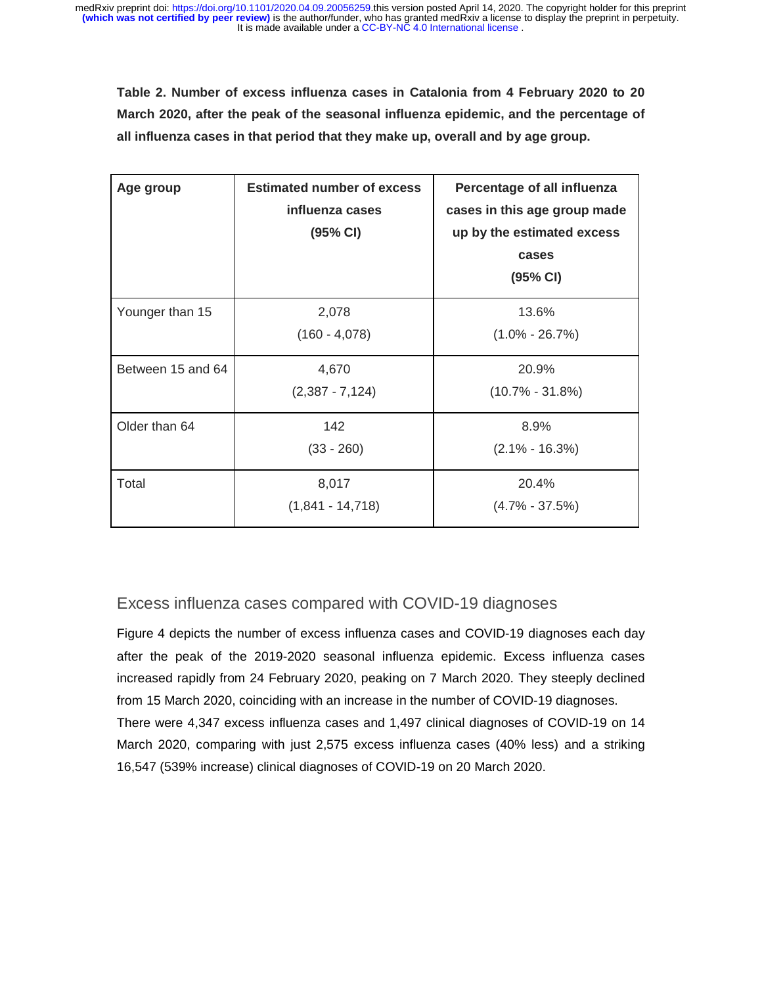**Table 2. Number of excess influenza cases in Catalonia from 4 February 2020 to 20 March 2020, after the peak of the seasonal influenza epidemic, and the percentage of all influenza cases in that period that they make up, overall and by age group.**

| Age group         | <b>Estimated number of excess</b><br>influenza cases<br>(95% CI) | Percentage of all influenza<br>cases in this age group made<br>up by the estimated excess<br>cases<br>(95% CI) |
|-------------------|------------------------------------------------------------------|----------------------------------------------------------------------------------------------------------------|
| Younger than 15   | 2,078<br>$(160 - 4,078)$                                         | 13.6%<br>$(1.0\% - 26.7\%)$                                                                                    |
| Between 15 and 64 | 4,670<br>$(2,387 - 7,124)$                                       | 20.9%<br>$(10.7\% - 31.8\%)$                                                                                   |
| Older than 64     | 142<br>$(33 - 260)$                                              | 8.9%<br>$(2.1\% - 16.3\%)$                                                                                     |
| Total             | 8,017<br>$(1,841 - 14,718)$                                      | 20.4%<br>$(4.7\% - 37.5\%)$                                                                                    |

## Excess influenza cases compared with COVID-19 diagnoses

Figure 4 depicts the number of excess influenza cases and COVID-19 diagnoses each day after the peak of the 2019-2020 seasonal influenza epidemic. Excess influenza cases increased rapidly from 24 February 2020, peaking on 7 March 2020. They steeply declined from 15 March 2020, coinciding with an increase in the number of COVID-19 diagnoses. There were 4,347 excess influenza cases and 1,497 clinical diagnoses of COVID-19 on 14 March 2020, comparing with just 2,575 excess influenza cases (40% less) and a striking 16,547 (539% increase) clinical diagnoses of COVID-19 on 20 March 2020.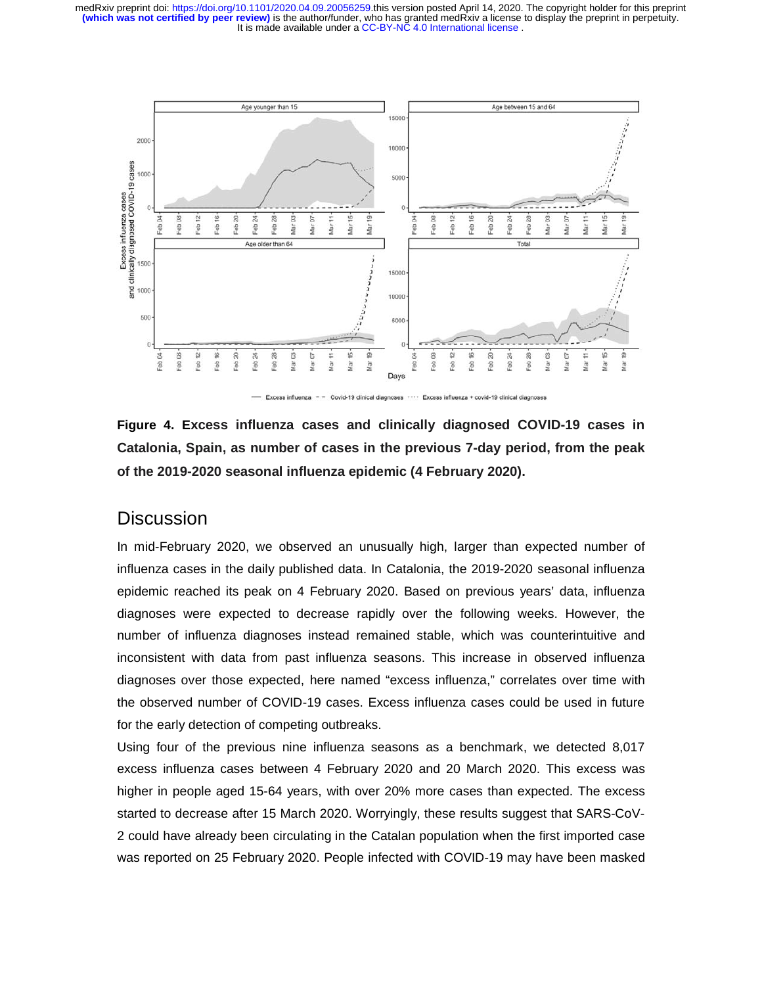

- - Covid-19 clinical diagnoses ···· Excess influenza + covid-19 clinical diagnoses Excess influenza

**Figure 4. Excess influenza cases and clinically diagnosed COVID-19 cases in Catalonia, Spain, as number of cases in the previous 7-day period, from the peak of the 2019-2020 seasonal influenza epidemic (4 February 2020).** 

## **Discussion**

In mid-February 2020, we observed an unusually high, larger than expected number of influenza cases in the daily published data. In Catalonia, the 2019-2020 seasonal influenza epidemic reached its peak on 4 February 2020. Based on previous years' data, influenza diagnoses were expected to decrease rapidly over the following weeks. However, the number of influenza diagnoses instead remained stable, which was counterintuitive and inconsistent with data from past influenza seasons. This increase in observed influenza diagnoses over those expected, here named "excess influenza," correlates over time with the observed number of COVID-19 cases. Excess influenza cases could be used in future for the early detection of competing outbreaks.

Using four of the previous nine influenza seasons as a benchmark, we detected 8,017 excess influenza cases between 4 February 2020 and 20 March 2020. This excess was higher in people aged 15-64 years, with over 20% more cases than expected. The excess started to decrease after 15 March 2020. Worryingly, these results suggest that SARS-CoV-2 could have already been circulating in the Catalan population when the first imported case was reported on 25 February 2020. People infected with COVID-19 may have been masked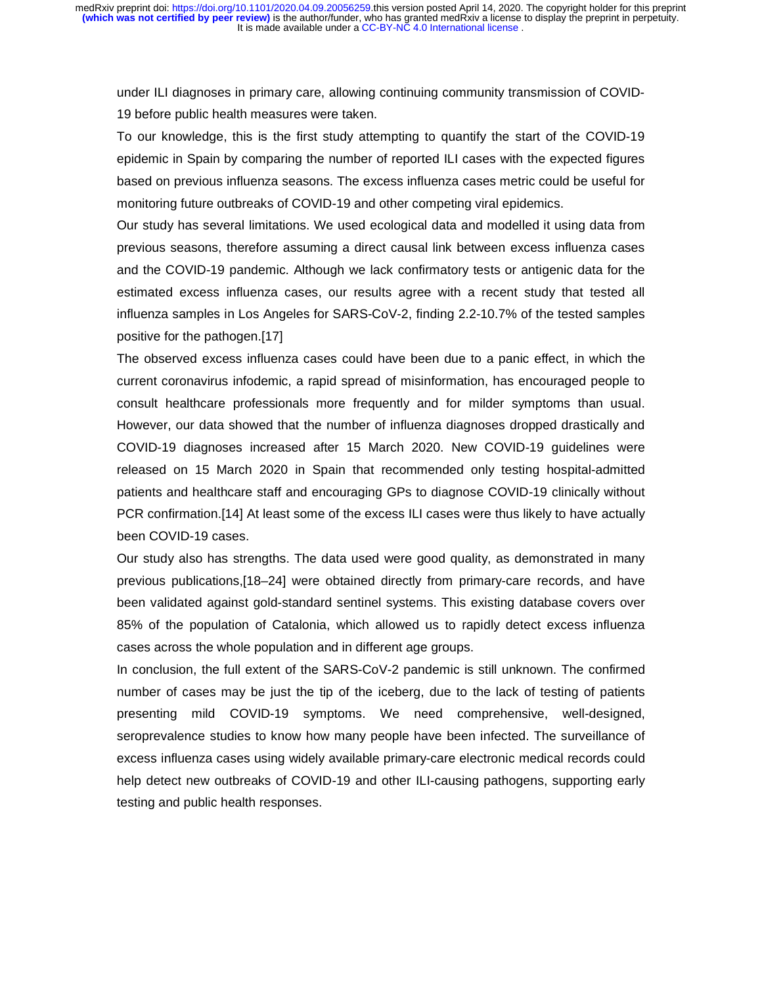under ILI diagnoses in primary care, allowing continuing community transmission of COVID-19 before public health measures were taken.

To our knowledge, this is the first study attempting to quantify the start of the COVID-19 epidemic in Spain by comparing the number of reported ILI cases with the expected figures based on previous influenza seasons. The excess influenza cases metric could be useful for monitoring future outbreaks of COVID-19 and other competing viral epidemics.

Our study has several limitations. We used ecological data and modelled it using data from previous seasons, therefore assuming a direct causal link between excess influenza cases and the COVID-19 pandemic. Although we lack confirmatory tests or antigenic data for the estimated excess influenza cases, our results agree with a recent study that tested all influenza samples in Los Angeles for SARS-CoV-2, finding 2.2-10.7% of the tested samples positive for the pathogen.[17]

The observed excess influenza cases could have been due to a panic effect, in which the current coronavirus infodemic, a rapid spread of misinformation, has encouraged people to consult healthcare professionals more frequently and for milder symptoms than usual. However, our data showed that the number of influenza diagnoses dropped drastically and COVID-19 diagnoses increased after 15 March 2020. New COVID-19 guidelines were released on 15 March 2020 in Spain that recommended only testing hospital-admitted patients and healthcare staff and encouraging GPs to diagnose COVID-19 clinically without PCR confirmation.[14] At least some of the excess ILI cases were thus likely to have actually been COVID-19 cases.

Our study also has strengths. The data used were good quality, as demonstrated in many previous publications,[18–24] were obtained directly from primary-care records, and have been validated against gold-standard sentinel systems. This existing database covers over 85% of the population of Catalonia, which allowed us to rapidly detect excess influenza cases across the whole population and in different age groups.

In conclusion, the full extent of the SARS-CoV-2 pandemic is still unknown. The confirmed number of cases may be just the tip of the iceberg, due to the lack of testing of patients presenting mild COVID-19 symptoms. We need comprehensive, well-designed, seroprevalence studies to know how many people have been infected. The surveillance of excess influenza cases using widely available primary-care electronic medical records could help detect new outbreaks of COVID-19 and other ILI-causing pathogens, supporting early testing and public health responses.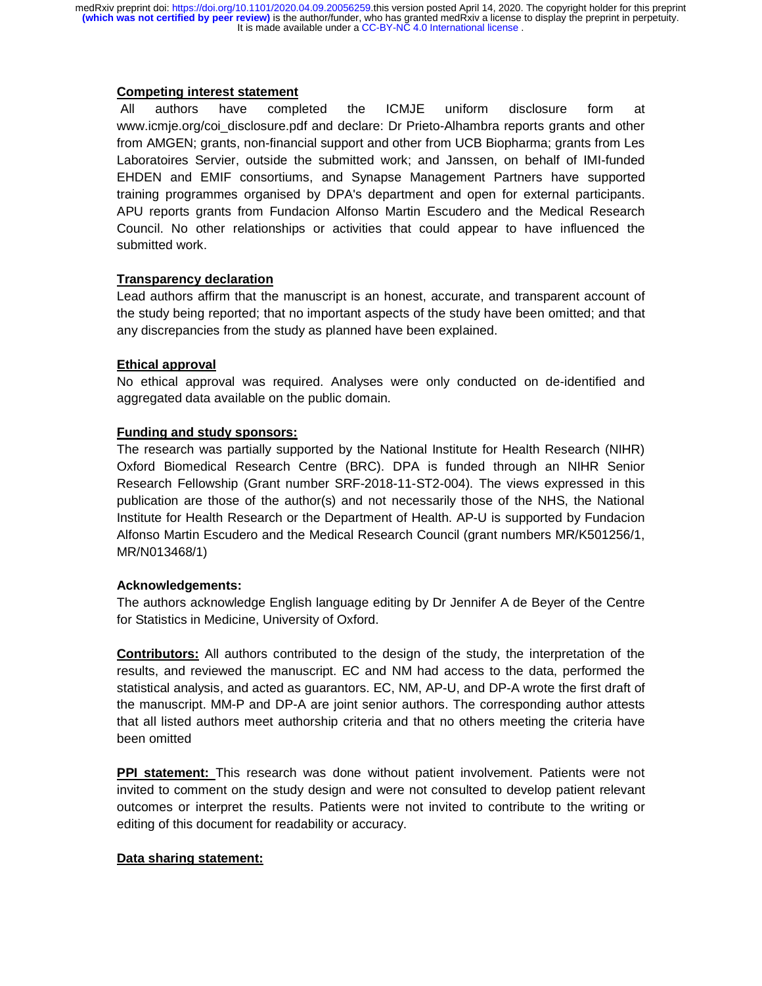#### **Competing interest statement**

 All authors have completed the ICMJE uniform disclosure form at www.icmje.org/coi\_disclosure.pdf and declare: Dr Prieto-Alhambra reports grants and other from AMGEN; grants, non-financial support and other from UCB Biopharma; grants from Les Laboratoires Servier, outside the submitted work; and Janssen, on behalf of IMI-funded EHDEN and EMIF consortiums, and Synapse Management Partners have supported training programmes organised by DPA's department and open for external participants. APU reports grants from Fundacion Alfonso Martin Escudero and the Medical Research Council. No other relationships or activities that could appear to have influenced the submitted work.

### **Transparency declaration**

Lead authors affirm that the manuscript is an honest, accurate, and transparent account of the study being reported; that no important aspects of the study have been omitted; and that any discrepancies from the study as planned have been explained.

### **Ethical approval**

No ethical approval was required. Analyses were only conducted on de-identified and aggregated data available on the public domain.

### **Funding and study sponsors:**

The research was partially supported by the National Institute for Health Research (NIHR) Oxford Biomedical Research Centre (BRC). DPA is funded through an NIHR Senior Research Fellowship (Grant number SRF-2018-11-ST2-004). The views expressed in this publication are those of the author(s) and not necessarily those of the NHS, the National Institute for Health Research or the Department of Health. AP-U is supported by Fundacion Alfonso Martin Escudero and the Medical Research Council (grant numbers MR/K501256/1, MR/N013468/1)

### **Acknowledgements:**

The authors acknowledge English language editing by Dr Jennifer A de Beyer of the Centre for Statistics in Medicine, University of Oxford.

**Contributors:** All authors contributed to the design of the study, the interpretation of the results, and reviewed the manuscript. EC and NM had access to the data, performed the statistical analysis, and acted as guarantors. EC, NM, AP-U, and DP-A wrote the first draft of the manuscript. MM-P and DP-A are joint senior authors. The corresponding author attests that all listed authors meet authorship criteria and that no others meeting the criteria have been omitted

**PPI statement:** This research was done without patient involvement. Patients were not invited to comment on the study design and were not consulted to develop patient relevant outcomes or interpret the results. Patients were not invited to contribute to the writing or editing of this document for readability or accuracy.

### **Data sharing statement:**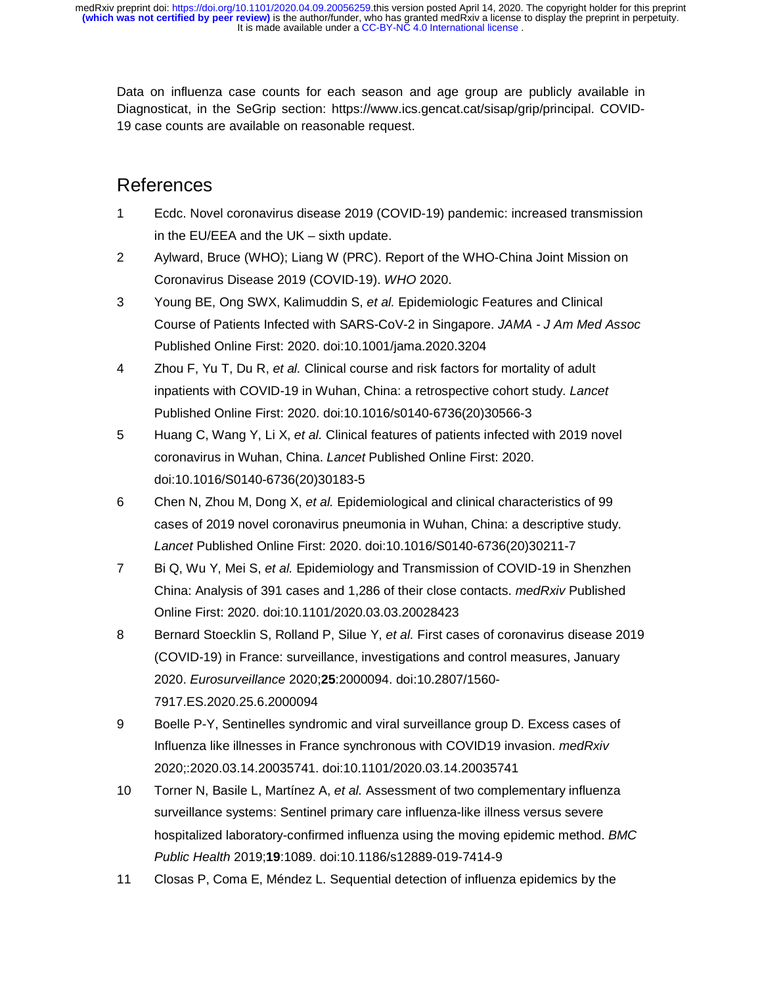Data on influenza case counts for each season and age group are publicly available in Diagnosticat, in the SeGrip section: https://www.ics.gencat.cat/sisap/grip/principal. COVID-19 case counts are available on reasonable request.

## References

- 1 Ecdc. Novel coronavirus disease 2019 (COVID-19) pandemic: increased transmission in the EU/EEA and the UK – sixth update.
- 2 Aylward, Bruce (WHO); Liang W (PRC). Report of the WHO-China Joint Mission on Coronavirus Disease 2019 (COVID-19). *WHO* 2020.
- 3 Young BE, Ong SWX, Kalimuddin S, *et al.* Epidemiologic Features and Clinical Course of Patients Infected with SARS-CoV-2 in Singapore. *JAMA - J Am Med Assoc* Published Online First: 2020. doi:10.1001/jama.2020.3204
- 4 Zhou F, Yu T, Du R, *et al.* Clinical course and risk factors for mortality of adult inpatients with COVID-19 in Wuhan, China: a retrospective cohort study. *Lancet* Published Online First: 2020. doi:10.1016/s0140-6736(20)30566-3
- 5 Huang C, Wang Y, Li X, *et al.* Clinical features of patients infected with 2019 novel coronavirus in Wuhan, China. *Lancet* Published Online First: 2020. doi:10.1016/S0140-6736(20)30183-5
- 6 Chen N, Zhou M, Dong X, *et al.* Epidemiological and clinical characteristics of 99 cases of 2019 novel coronavirus pneumonia in Wuhan, China: a descriptive study. *Lancet* Published Online First: 2020. doi:10.1016/S0140-6736(20)30211-7
- 7 Bi Q, Wu Y, Mei S, *et al.* Epidemiology and Transmission of COVID-19 in Shenzhen China: Analysis of 391 cases and 1,286 of their close contacts. *medRxiv* Published Online First: 2020. doi:10.1101/2020.03.03.20028423
- 8 Bernard Stoecklin S, Rolland P, Silue Y, *et al.* First cases of coronavirus disease 2019 (COVID-19) in France: surveillance, investigations and control measures, January 2020. *Eurosurveillance* 2020;**25**:2000094. doi:10.2807/1560- 7917.ES.2020.25.6.2000094
- 9 Boelle P-Y, Sentinelles syndromic and viral surveillance group D. Excess cases of Influenza like illnesses in France synchronous with COVID19 invasion. *medRxiv* 2020;:2020.03.14.20035741. doi:10.1101/2020.03.14.20035741
- 10 Torner N, Basile L, Martínez A, *et al.* Assessment of two complementary influenza surveillance systems: Sentinel primary care influenza-like illness versus severe hospitalized laboratory-confirmed influenza using the moving epidemic method. *BMC Public Health* 2019;**19**:1089. doi:10.1186/s12889-019-7414-9
- 11 Closas P, Coma E, Méndez L. Sequential detection of influenza epidemics by the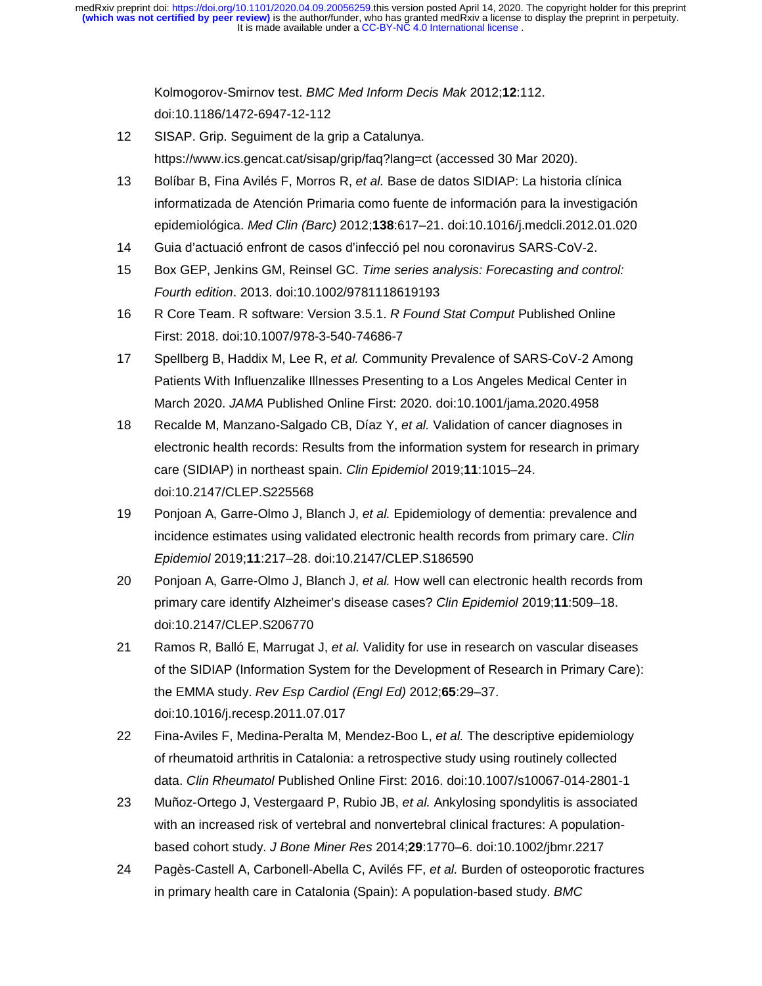Kolmogorov-Smirnov test. *BMC Med Inform Decis Mak* 2012;**12**:112. doi:10.1186/1472-6947-12-112

- 12 SISAP. Grip. Seguiment de la grip a Catalunya. https://www.ics.gencat.cat/sisap/grip/faq?lang=ct (accessed 30 Mar 2020).
- 13 Bolíbar B, Fina Avilés F, Morros R, *et al.* Base de datos SIDIAP: La historia clínica informatizada de Atención Primaria como fuente de información para la investigación epidemiológica. *Med Clin (Barc)* 2012;**138**:617–21. doi:10.1016/j.medcli.2012.01.020
- 14 Guia d'actuació enfront de casos d'infecció pel nou coronavirus SARS-CoV-2.
- 15 Box GEP, Jenkins GM, Reinsel GC. *Time series analysis: Forecasting and control: Fourth edition*. 2013. doi:10.1002/9781118619193
- 16 R Core Team. R software: Version 3.5.1. *R Found Stat Comput* Published Online First: 2018. doi:10.1007/978-3-540-74686-7
- 17 Spellberg B, Haddix M, Lee R, *et al.* Community Prevalence of SARS-CoV-2 Among Patients With Influenzalike Illnesses Presenting to a Los Angeles Medical Center in March 2020. *JAMA* Published Online First: 2020. doi:10.1001/jama.2020.4958
- 18 Recalde M, Manzano-Salgado CB, Díaz Y, *et al.* Validation of cancer diagnoses in electronic health records: Results from the information system for research in primary care (SIDIAP) in northeast spain. *Clin Epidemiol* 2019;**11**:1015–24. doi:10.2147/CLEP.S225568
- 19 Ponjoan A, Garre-Olmo J, Blanch J, *et al.* Epidemiology of dementia: prevalence and incidence estimates using validated electronic health records from primary care. *Clin Epidemiol* 2019;**11**:217–28. doi:10.2147/CLEP.S186590
- 20 Ponjoan A, Garre-Olmo J, Blanch J, *et al.* How well can electronic health records from primary care identify Alzheimer's disease cases? *Clin Epidemiol* 2019;**11**:509–18. doi:10.2147/CLEP.S206770
- 21 Ramos R, Balló E, Marrugat J, *et al.* Validity for use in research on vascular diseases of the SIDIAP (Information System for the Development of Research in Primary Care): the EMMA study. *Rev Esp Cardiol (Engl Ed)* 2012;**65**:29–37. doi:10.1016/j.recesp.2011.07.017
- 22 Fina-Aviles F, Medina-Peralta M, Mendez-Boo L, *et al.* The descriptive epidemiology of rheumatoid arthritis in Catalonia: a retrospective study using routinely collected data. *Clin Rheumatol* Published Online First: 2016. doi:10.1007/s10067-014-2801-1
- 23 Muñoz-Ortego J, Vestergaard P, Rubio JB, *et al.* Ankylosing spondylitis is associated with an increased risk of vertebral and nonvertebral clinical fractures: A populationbased cohort study. *J Bone Miner Res* 2014;**29**:1770–6. doi:10.1002/jbmr.2217
- 24 Pagès-Castell A, Carbonell-Abella C, Avilés FF, *et al.* Burden of osteoporotic fractures in primary health care in Catalonia (Spain): A population-based study. *BMC*